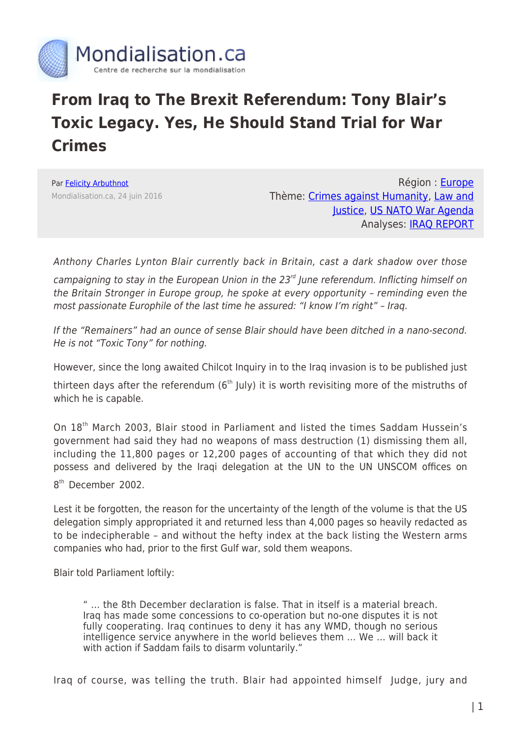

## **From Iraq to The Brexit Referendum: Tony Blair's Toxic Legacy. Yes, He Should Stand Trial for War Crimes**

Par [Felicity Arbuthnot](https://www.mondialisation.ca/author/felicity-arbuthnot) Mondialisation.ca, 24 juin 2016

Région : [Europe](https://www.mondialisation.ca/region/europe) Thème: [Crimes against Humanity](https://www.mondialisation.ca/theme/crimes-against-humanity), [Law and](https://www.mondialisation.ca/theme/law-and-justice) [Justice](https://www.mondialisation.ca/theme/law-and-justice), [US NATO War Agenda](https://www.mondialisation.ca/theme/us-nato-war-agenda) Analyses: [IRAQ REPORT](https://www.mondialisation.ca/indepthreport/iraq-report)

Anthony Charles Lynton Blair currently back in Britain, cast a dark shadow over those campaigning to stay in the European Union in the  $23<sup>rd</sup>$  June referendum. Inflicting himself on the Britain Stronger in Europe group, he spoke at every opportunity – reminding even the most passionate Europhile of the last time he assured: "I know I'm right" – Iraq.

If the "Remainers" had an ounce of sense Blair should have been ditched in a nano-second. He is not "Toxic Tony" for nothing.

However, since the long awaited Chilcot Inquiry in to the Iraq invasion is to be published just

thirteen days after the referendum ( $6<sup>th</sup>$  July) it is worth revisiting more of the mistruths of which he is capable.

On 18<sup>th</sup> March 2003, Blair stood in Parliament and listed the times Saddam Hussein's government had said they had no weapons of mass destruction (1) dismissing them all, including the 11,800 pages or 12,200 pages of accounting of that which they did not possess and delivered by the Iraqi delegation at the UN to the UN UNSCOM offices on 8<sup>th</sup> December 2002.

Lest it be forgotten, the reason for the uncertainty of the length of the volume is that the US delegation simply appropriated it and returned less than 4,000 pages so heavily redacted as to be indecipherable – and without the hefty index at the back listing the Western arms companies who had, prior to the first Gulf war, sold them weapons.

Blair told Parliament loftily:

" … the 8th December declaration is false. That in itself is a material breach. Iraq has made some concessions to co-operation but no-one disputes it is not fully cooperating. Iraq continues to deny it has any WMD, though no serious intelligence service anywhere in the world believes them … We … will back it with action if Saddam fails to disarm voluntarily."

Iraq of course, was telling the truth. Blair had appointed himself Judge, jury and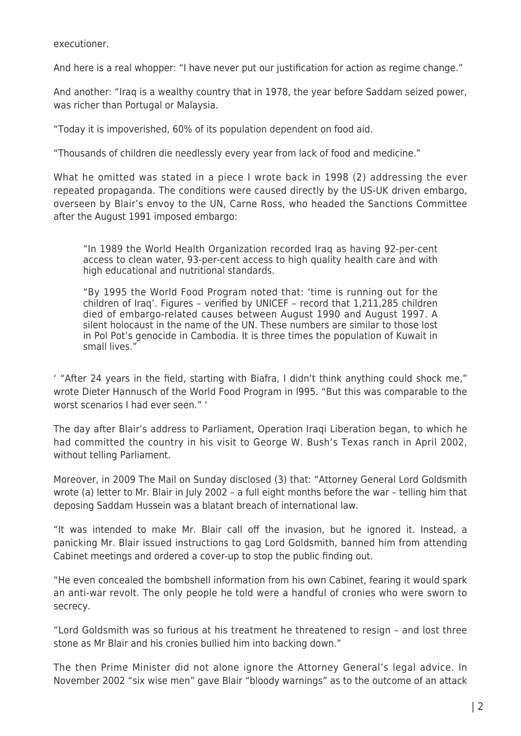executioner.

And here is a real whopper: "I have never put our justification for action as regime change."

And another: "Iraq is a wealthy country that in 1978, the year before Saddam seized power, was richer than Portugal or Malaysia.

"Today it is impoverished, 60% of its population dependent on food aid.

"Thousands of children die needlessly every year from lack of food and medicine."

What he omitted was stated in a piece I wrote back in 1998 (2) addressing the ever repeated propaganda. The conditions were caused directly by the US-UK driven embargo, overseen by Blair's envoy to the UN, Carne Ross, who headed the Sanctions Committee after the August 1991 imposed embargo:

"In 1989 the World Health Organization recorded Iraq as having 92-per-cent access to clean water, 93-per-cent access to high quality health care and with high educational and nutritional standards.

"By 1995 the World Food Program noted that: 'time is running out for the children of Iraq'. Figures – verified by UNICEF – record that 1,211,285 children died of embargo-related causes between August 1990 and August 1997. A silent holocaust in the name of the UN. These numbers are similar to those lost in Pol Pot's genocide in Cambodia. It is three times the population of Kuwait in small lives."

' "After 24 years in the field, starting with Biafra, I didn't think anything could shock me," wrote Dieter Hannusch of the World Food Program in l995. "But this was comparable to the worst scenarios I had ever seen." '

The day after Blair's address to Parliament, Operation Iraqi Liberation began, to which he had committed the country in his visit to George W. Bush's Texas ranch in April 2002, without telling Parliament.

Moreover, in 2009 The Mail on Sunday disclosed (3) that: "Attorney General Lord Goldsmith wrote (a) letter to Mr. Blair in July 2002 – a full eight months before the war – telling him that deposing Saddam Hussein was a blatant breach of international law.

"It was intended to make Mr. Blair call off the invasion, but he ignored it. Instead, a panicking Mr. Blair issued instructions to gag Lord Goldsmith, banned him from attending Cabinet meetings and ordered a cover-up to stop the public finding out.

"He even concealed the bombshell information from his own Cabinet, fearing it would spark an anti-war revolt. The only people he told were a handful of cronies who were sworn to secrecy.

"Lord Goldsmith was so furious at his treatment he threatened to resign – and lost three stone as Mr Blair and his cronies bullied him into backing down."

The then Prime Minister did not alone ignore the Attorney General's legal advice. In November 2002 "six wise men" gave Blair "bloody warnings" as to the outcome of an attack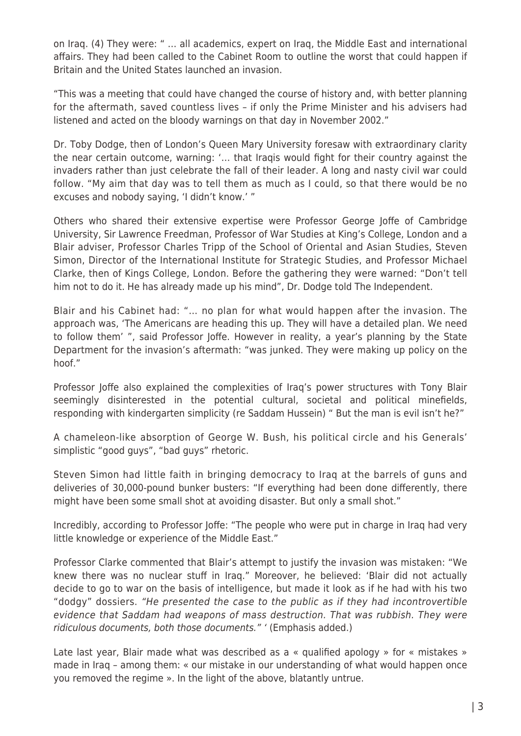on Iraq. (4) They were: " … all academics, expert on Iraq, the Middle East and international affairs. They had been called to the Cabinet Room to outline the worst that could happen if Britain and the United States launched an invasion.

"This was a meeting that could have changed the course of history and, with better planning for the aftermath, saved countless lives – if only the Prime Minister and his advisers had listened and acted on the bloody warnings on that day in November 2002."

Dr. Toby Dodge, then of London's Queen Mary University foresaw with extraordinary clarity the near certain outcome, warning: '… that Iraqis would fight for their country against the invaders rather than just celebrate the fall of their leader. A long and nasty civil war could follow. "My aim that day was to tell them as much as I could, so that there would be no excuses and nobody saying, 'I didn't know.' "

Others who shared their extensive expertise were Professor George Joffe of Cambridge University, Sir Lawrence Freedman, Professor of War Studies at King's College, London and a Blair adviser, Professor Charles Tripp of the School of Oriental and Asian Studies, Steven Simon, Director of the International Institute for Strategic Studies, and Professor Michael Clarke, then of Kings College, London. Before the gathering they were warned: "Don't tell him not to do it. He has already made up his mind", Dr. Dodge told The Independent.

Blair and his Cabinet had: "… no plan for what would happen after the invasion. The approach was, 'The Americans are heading this up. They will have a detailed plan. We need to follow them' ", said Professor Joffe. However in reality, a year's planning by the State Department for the invasion's aftermath: "was junked. They were making up policy on the hoof."

Professor Joffe also explained the complexities of Iraq's power structures with Tony Blair seemingly disinterested in the potential cultural, societal and political minefields, responding with kindergarten simplicity (re Saddam Hussein) " But the man is evil isn't he?"

A chameleon-like absorption of George W. Bush, his political circle and his Generals' simplistic "good guys", "bad guys" rhetoric.

Steven Simon had little faith in bringing democracy to Iraq at the barrels of guns and deliveries of 30,000-pound bunker busters: "If everything had been done differently, there might have been some small shot at avoiding disaster. But only a small shot."

Incredibly, according to Professor Joffe: "The people who were put in charge in Iraq had very little knowledge or experience of the Middle East."

Professor Clarke commented that Blair's attempt to justify the invasion was mistaken: "We knew there was no nuclear stuff in Iraq." Moreover, he believed: 'Blair did not actually decide to go to war on the basis of intelligence, but made it look as if he had with his two "dodgy" dossiers. "He presented the case to the public as if they had incontrovertible evidence that Saddam had weapons of mass destruction. That was rubbish. They were ridiculous documents, both those documents." ' (Emphasis added.)

Late last year, Blair made what was described as a « qualified apology » for « mistakes » made in Iraq – among them: « our mistake in our understanding of what would happen once you removed the regime ». In the light of the above, blatantly untrue.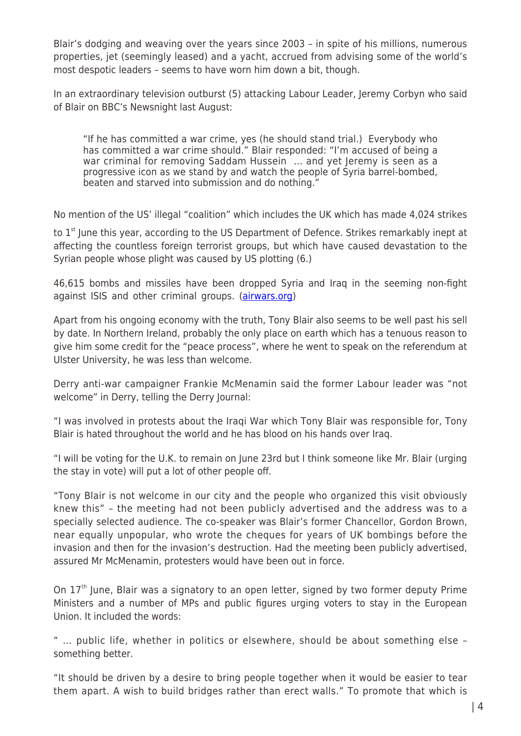Blair's dodging and weaving over the years since 2003 – in spite of his millions, numerous properties, jet (seemingly leased) and a yacht, accrued from advising some of the world's most despotic leaders – seems to have worn him down a bit, though.

In an extraordinary television outburst (5) attacking Labour Leader, Jeremy Corbyn who said of Blair on BBC's Newsnight last August:

"If he has committed a war crime, yes (he should stand trial.) Everybody who has committed a war crime should." Blair responded: "I'm accused of being a war criminal for removing Saddam Hussein ... and yet Jeremy is seen as a progressive icon as we stand by and watch the people of Syria barrel-bombed, beaten and starved into submission and do nothing."

No mention of the US' illegal "coalition" which includes the UK which has made 4,024 strikes

to  $1<sup>st</sup>$  June this year, according to the US Department of Defence. Strikes remarkably inept at affecting the countless foreign terrorist groups, but which have caused devastation to the Syrian people whose plight was caused by US plotting (6.)

46,615 bombs and missiles have been dropped Syria and Iraq in the seeming non-fight against ISIS and other criminal groups. [\(airwars.org](http://airwars.org/))

Apart from his ongoing economy with the truth, Tony Blair also seems to be well past his sell by date. In Northern Ireland, probably the only place on earth which has a tenuous reason to give him some credit for the "peace process", where he went to speak on the referendum at Ulster University, he was less than welcome.

Derry anti-war campaigner Frankie McMenamin said the former Labour leader was "not welcome" in Derry, telling the Derry Journal:

"I was involved in protests about the Iraqi War which Tony Blair was responsible for, Tony Blair is hated throughout the world and he has blood on his hands over Iraq.

"I will be voting for the U.K. to remain on June 23rd but I think someone like Mr. Blair (urging the stay in vote) will put a lot of other people off.

"Tony Blair is not welcome in our city and the people who organized this visit obviously knew this" – the meeting had not been publicly advertised and the address was to a specially selected audience. The co-speaker was Blair's former Chancellor, Gordon Brown, near equally unpopular, who wrote the cheques for years of UK bombings before the invasion and then for the invasion's destruction. Had the meeting been publicly advertised, assured Mr McMenamin, protesters would have been out in force.

On 17<sup>th</sup> June, Blair was a signatory to an open letter, signed by two former deputy Prime Ministers and a number of MPs and public figures urging voters to stay in the European Union. It included the words:

" … public life, whether in politics or elsewhere, should be about something else – something better.

"It should be driven by a desire to bring people together when it would be easier to tear them apart. A wish to build bridges rather than erect walls." To promote that which is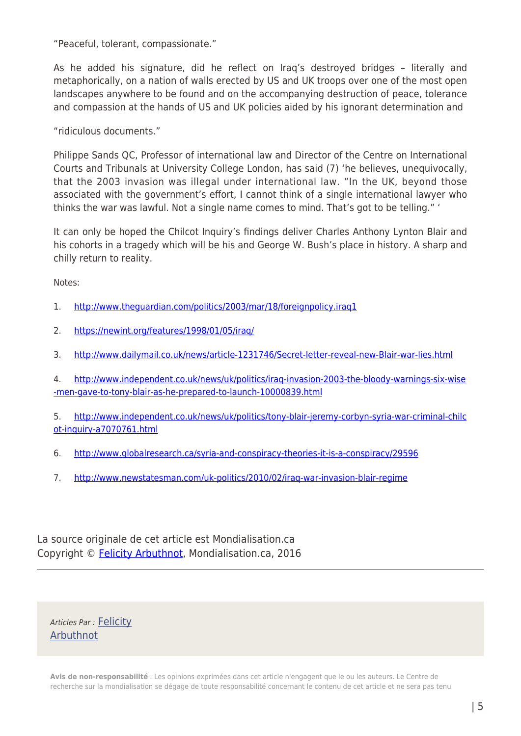"Peaceful, tolerant, compassionate."

As he added his signature, did he reflect on Iraq's destroyed bridges – literally and metaphorically, on a nation of walls erected by US and UK troops over one of the most open landscapes anywhere to be found and on the accompanying destruction of peace, tolerance and compassion at the hands of US and UK policies aided by his ignorant determination and

"ridiculous documents."

Philippe Sands QC, Professor of international law and Director of the Centre on International Courts and Tribunals at University College London, has said (7) 'he believes, unequivocally, that the 2003 invasion was illegal under international law. "In the UK, beyond those associated with the government's effort, I cannot think of a single international lawyer who thinks the war was lawful. Not a single name comes to mind. That's got to be telling." '

It can only be hoped the Chilcot Inquiry's findings deliver Charles Anthony Lynton Blair and his cohorts in a tragedy which will be his and George W. Bush's place in history. A sharp and chilly return to reality.

Notes:

- 1. <http://www.theguardian.com/politics/2003/mar/18/foreignpolicy.iraq1>
- 2. <https://newint.org/features/1998/01/05/iraq/>
- 3. <http://www.dailymail.co.uk/news/article-1231746/Secret-letter-reveal-new-Blair-war-lies.html>

4. [http://www.independent.co.uk/news/uk/politics/iraq-invasion-2003-the-bloody-warnings-six-wise](http://www.independent.co.uk/news/uk/politics/iraq-invasion-2003-the-bloody-warnings-six-wise-men-gave-to-tony-blair-as-he-prepared-to-launch-10000839.html) [-men-gave-to-tony-blair-as-he-prepared-to-launch-10000839.html](http://www.independent.co.uk/news/uk/politics/iraq-invasion-2003-the-bloody-warnings-six-wise-men-gave-to-tony-blair-as-he-prepared-to-launch-10000839.html)

5. [http://www.independent.co.uk/news/uk/politics/tony-blair-jeremy-corbyn-syria-war-criminal-chilc](http://www.independent.co.uk/news/uk/politics/tony-blair-jeremy-corbyn-syria-war-criminal-chilcot-inquiry-a7070761.html) [ot-inquiry-a7070761.html](http://www.independent.co.uk/news/uk/politics/tony-blair-jeremy-corbyn-syria-war-criminal-chilcot-inquiry-a7070761.html)

- 6. <http://www.globalresearch.ca/syria-and-conspiracy-theories-it-is-a-conspiracy/29596>
- 7. <http://www.newstatesman.com/uk-politics/2010/02/iraq-war-invasion-blair-regime>

La source originale de cet article est Mondialisation.ca Copyright © [Felicity Arbuthnot](https://www.mondialisation.ca/author/felicity-arbuthnot), Mondialisation.ca, 2016

Articles Par : [Felicity](https://www.mondialisation.ca/author/felicity-arbuthnot) [Arbuthnot](https://www.mondialisation.ca/author/felicity-arbuthnot)

**Avis de non-responsabilité** : Les opinions exprimées dans cet article n'engagent que le ou les auteurs. Le Centre de recherche sur la mondialisation se dégage de toute responsabilité concernant le contenu de cet article et ne sera pas tenu